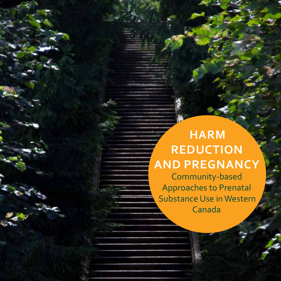# **Harm Reduction and Pregnancy**

Community-based Approaches to Prenatal Substance Use in Western Canada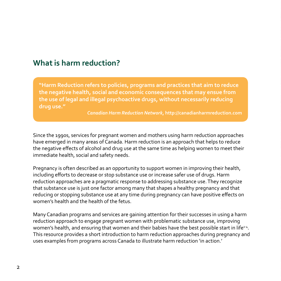### **What is harm reduction?**

**"Harm Reduction refers to policies, programs and practices that aim to reduce the negative health, social and economic consequences that may ensue from the use of legal and illegal psychoactive drugs, without necessarily reducing drug use."** 

*Canadian Harm Reduction Network***, http://canadianharmreduction.com**

Since the 1990s, services for pregnant women and mothers using harm reduction approaches have emerged in many areas of Canada. Harm reduction is an approach that helps to reduce the negative effects of alcohol and drug use at the same time as helping women to meet their immediate health, social and safety needs.

Pregnancy is often described as an opportunity to support women in improving their health, including efforts to decrease or stop substance use or increase safer use of drugs. Harm reduction approaches are a pragmatic response to addressing substance use. They recognize that substance use is just one factor among many that shapes a healthy pregnancy and that reducing or stopping substance use at any time during pregnancy can have positive effects on women's health and the health of the fetus.

Many Canadian programs and services are gaining attention for their successes in using a harm reduction approach to engage pregnant women with problematic substance use, improving women's health, and ensuring that women and their babies have the best possible start in life<sup>1-4</sup>. This resource provides a short introduction to harm reduction approaches during pregnancy and uses examples from programs across Canada to illustrate harm reduction 'in action.'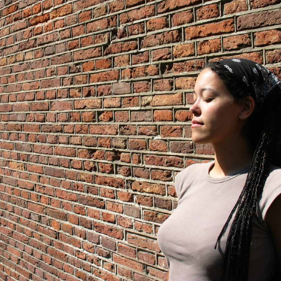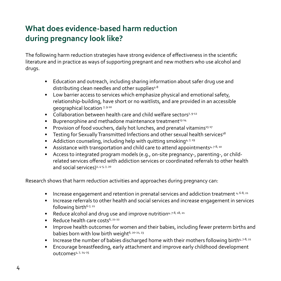## **What does evidence-based harm reduction during pregnancy look like?**

The following harm reduction strategies have strong evidence of effectiveness in the scientific literature and in practice as ways of supporting pregnant and new mothers who use alcohol and drugs.

- Education and outreach, including sharing information about safer drug use and distributing clean needles and other supplies<sup>4-8</sup>
- Low barrier access to services which emphasize physical and emotional safety, relationship-building, have short or no waitlists, and are provided in an accessible geographical location 7, 9-10
- Collaboration between health care and child welfare sectors<sup>7, 9-12</sup>
- Buprenorphine and methadone maintenance treatment<sup>13-14</sup>
- Provision of food vouchers, daily hot lunches, and prenatal vitamins<sup>15-17</sup>
- Testing for Sexually Transmitted Infections and other sexual health services<sup>18</sup>
- Addiction counseling, including help with quitting smoking $4,7,19$
- Assistance with transportation and child care to attend appointments $4778,10$
- Access to integrated program models (e.g., on-site pregnancy-, parenting-, or childrelated services offered with addiction services or coordinated referrals to other health and social services)<sup>2, 4-5, 7, 20</sup>

Research shows that harm reduction activities and approaches during pregnancy can:

- Increase engagement and retention in prenatal services and addiction treatment  $4, 6-8, 21$
- Increase referrals to other health and social services and increase engagement in services following birth<sup>6-7, 21</sup>
- Reduce alcohol and drug use and improve nutrition $4,7-8,18,21$
- Reduce health care costs $6, 21-22$
- Improve health outcomes for women and their babies, including fewer preterm births and babies born with low birth weight<sup>6, 20-21, 23</sup>
- Increase the number of babies discharged home with their mothers following birth $4778,21$
- Encourage breastfeeding, early attachment and improve early childhood development  $Outcomes<sup>4</sup>, 7, 24-25$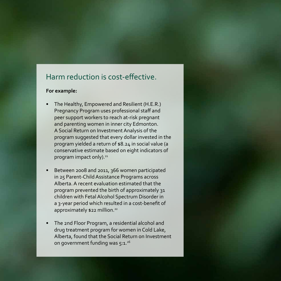### Harm reduction is cost-effective.

#### **For example:**

- The Healthy, Empowered and Resilient (H.E.R.) Pregnancy Program uses professional staff and peer support workers to reach at-risk pregnant and parenting women in inner city Edmonton. A Social Return on Investment Analysis of the program suggested that every dollar invested in the program yielded a return of \$8.24 in social value (a conservative estimate based on eight indicators of program impact only).<sup>21</sup>
- Between 2008 and 2011, 366 women participated in 25 Parent-Child Assistance Programs across Alberta. A recent evaluation estimated that the program prevented the birth of approximately 31 children with Fetal Alcohol Spectrum Disorder in a 3-year period which resulted in a cost-benefit of approximately \$22 million.<sup>22</sup>
- The 2nd Floor Program, a residential alcohol and drug treatment program for women in Cold Lake, Alberta, found that the Social Return on Investment on government funding was 5:1.<sup>26</sup>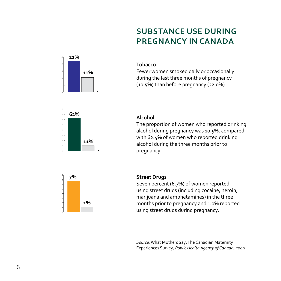### **Substance Use During Pregnancy in Canada**



### **Tobacco**

Fewer women smoked daily or occasionally during the last three months of pregnancy (10.5%) than before pregnancy (22.0%).



#### **Alcohol**

The proportion of women who reported drinking alcohol during pregnancy was 10.5%, compared with 62.4% of women who reported drinking alcohol during the three months prior to pregnancy.



#### **Street Drugs**

Seven percent (6.7%) of women reported using street drugs (including cocaine, heroin, marijuana and amphetamines) in the three months prior to pregnancy and 1.0% reported using street drugs during pregnancy.

*Source:* What Mothers Say: The Canadian Maternity Experiences Survey*, Public Health Agency of Canada, 2009*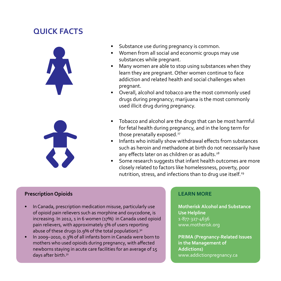### **QUICK FACTS**



- Substance use during pregnancy is common.
- Women from all social and economic groups may use substances while pregnant.
- Many women are able to stop using substances when they learn they are pregnant. Other women continue to face addiction and related health and social challenges when pregnant.
- Overall, alcohol and tobacco are the most commonly used drugs during pregnancy; marijuana is the most commonly used illicit drug during pregnancy.
- Tobacco and alcohol are the drugs that can be most harmful for fetal health during pregnancy, and in the long term for those prenatally exposed.<sup>27</sup>
- Infants who initially show withdrawal effects from substances such as heroin and methadone at birth do not necessarily have any effects later on as children or as adults.<sup>28</sup>
- Some research suggests that infant health outcomes are more closely related to factors like homelessness, poverty, poor nutrition, stress, and infections than to drug use itself.<sup>29</sup>

### **Prescription Opioids**

- In Canada, prescription medication misuse, particularly use of opioid pain relievers such as morphine and oxycodone, is increasing. In 2012, 1 in 6 women (17%) in Canada used opioid pain relievers, with approximately 5% of users reporting abuse of these drugs (0.9% of the total population).<sup>30</sup>
- In 2009–2010, 0.3% of all infants born in Canada were born to mothers who used opioids during pregnancy, with affected newborns staying in acute care facilities for an average of 15 days after birth.31

### **LEARN MORE**

**Motherisk Alcohol and Substance Use Helpline** 1-877-327-4636 www.motherisk.org

**PRIMA (Pregnancy-Related Issues in the Management of Addictions)**  www.addictionpregnancy.ca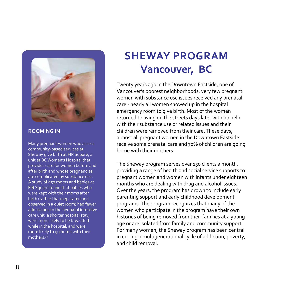

#### **ROOMING IN**

Many pregnant women who access community-based services at Sheway give birth at FIR Square, a unit at BC Women's Hospital that provides care for women before and after birth and whose pregnancies are complicated by substance use. A study of 952 moms and babies at FIR Square found that babies who were kept with their moms after birth (rather than separated and observed in a quiet room) had fewer admissions to the neonatal intensive care unit, a shorter hospital stay, were more likely to be breastfed while in the hospital, and were more likely to go home with their mothers.32

## **Sheway Program Vancouver, BC**

Twenty years ago in the Downtown Eastside, one of Vancouver's poorest neighborhoods, very few pregnant women with substance use issues received any prenatal care - nearly all women showed up in the hospital emergency room to give birth. Most of the women returned to living on the streets days later with no help with their substance use or related issues and their children were removed from their care. These days, almost all pregnant women in the Downtown Eastside receive some prenatal care and 70% of children are going home with their mothers.

The Sheway program serves over 150 clients a month, providing a range of health and social service supports to pregnant women and women with infants under eighteen months who are dealing with drug and alcohol issues. Over the years, the program has grown to include early parenting support and early childhood development programs. The program recognizes that many of the women who participate in the program have their own histories of being removed from their families at a young age or are isolated from family and community support. For many women, the Sheway program has been central in ending a multigenerational cycle of addiction, poverty, and child removal.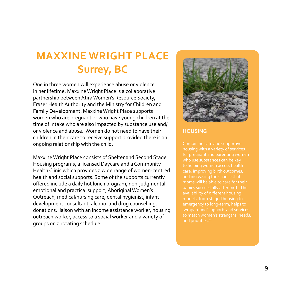# **Maxxine Wright Place Surrey, BC**

One in three women will experience abuse or violence in her lifetime. Maxxine Wright Place is a collaborative partnership between Atira Women's Resource Society, Fraser Health Authority and the Ministry for Children and Family Development. Maxxine Wright Place supports women who are pregnant or who have young children at the time of intake who are also impacted by substance use and/ or violence and abuse. Women do not need to have their children in their care to receive support provided there is an ongoing relationship with the child.

Maxxine Wright Place consists of Shelter and Second Stage Housing programs, a licensed Daycare and a Community Health Clinic which provides a wide range of women-centred health and social supports. Some of the supports currently offered include a daily hot lunch program, non-judgmental emotional and practical support, Aboriginal Women's Outreach, medical/nursing care, dental hygienist, infant development consultant, alcohol and drug counselling, donations, liaison with an income assistance worker, housing outreach worker, access to a social worker and a variety of groups on a rotating schedule.



### **HOUSING**

Combining safe and supportive housing with a variety of services for pregnant and parenting women who use substances can be key to helping women access health care, improving birth outcomes, and increasing the chance that moms will be able to care for their babies successfully after birth. The availability of different housing models, from staged housing to 'wraparound' supports and services and priorities.<sup>33</sup>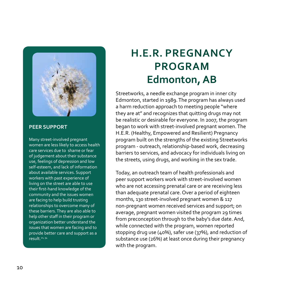

#### **PEER SUPPORT**

Many street-involved pregnant women are less likely to access health care services due to shame or fear of judgement about their substance use, feelings of depression and low self‐esteem, and lack of information about available services. Support workers with past experience of living on the street are able to use their first-hand knowledge of the community and the issues women are facing to help build trusting relationships to overcome many of these barriers. They are also able to help other staff in their program or organization better understand the issues that women are facing and to provide better care and support as a result.21, 34

## **H.E.R. Pregnancy Program Edmonton, AB**

Streetworks, a needle exchange program in inner city Edmonton, started in 1989. The program has always used a harm reduction approach to meeting people "where they are at" and recognizes that quitting drugs may not be realistic or desirable for everyone. In 2007, the program began to work with street-involved pregnant women. The H.E.R. (Healthy, Empowered and Resilient) Pregnancy program built on the strengths of the existing Streetworks program - outreach, relationship-based work, decreasing barriers to services, and advocacy for individuals living on the streets, using drugs, and working in the sex trade.

Today, an outreach team of health professionals and peer support workers work with street-involved women who are not accessing prenatal care or are receiving less than adequate prenatal care. Over a period of eighteen months, 130 street-involved pregnant women & 117 non-pregnant women received services and support; on average, pregnant women visited the program 29 times from preconception through to the baby's due date. And, while connected with the program, women reported stopping drug use (40%), safer use (37%), and reduction of substance use (26%) at least once during their pregnancy with the program.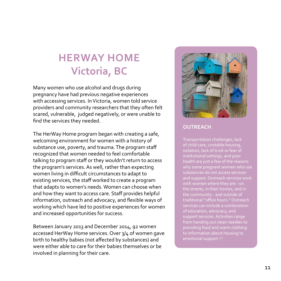## **HerWay Home Victoria, BC**

Many women who use alcohol and drugs during pregnancy have had previous negative experiences with accessing services. In Victoria, women told service providers and community researchers that they often felt scared, vulnerable, judged negatively, or were unable to find the services they needed.

The HerWay Home program began with creating a safe, welcoming environment for women with a history of substance use, poverty, and trauma. The program staff recognized that women needed to feel comfortable talking to program staff or they wouldn't return to access the program's services. As well, rather than expecting women living in difficult circumstances to adapt to existing services, the staff worked to create a program that adapts to women's needs. Women can choose when and how they want to access care. Staff provides helpful information, outreach and advocacy, and flexible ways of working which have led to positive experiences for women and increased opportunities for success.

Between January 2013 and December 2014, 92 women accessed HerWay Home services. Over 3/4 of women gave birth to healthy babies (not affected by substances) and were either able to care for their babies themselves or be involved in planning for their care.



### **OUTREACH**

Transportation challenges, lack of child care, unstable housing, isolation, lack of trust or fear of health are just a few of the reasons why some pregnant women who use substances do not access services and support. Outreach services work the streets, in their homes, and in traditional "office hours." Outreach services can include a combination of education, advocacy, and support services. Activities range from handing out clean needles to providing food and warm clothing to information about housing to emotional support.<sup>2,5</sup>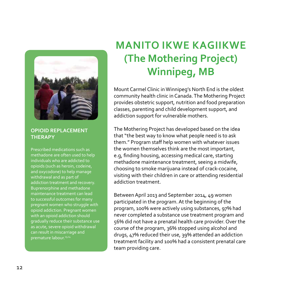

#### **OPIOID REPLACEMENT THERAPY**

Prescribed medications such as methadone are often used to help individuals who are addicted to opioids (such as heroin, codeine, and oxycodone) to help manage withdrawal and as part of addiction treatment and recovery. Buprenorphine and methadone maintenance treatment can lead to successful outcomes for many pregnant women who struggle with opioid addiction. Pregnant women with an opioid addiction should gradually reduce their substance use as acute, severe opioid withdrawal can result in miscarriage and premature labour.<sup>13,14</sup>

## **Manito Ikwe Kagiikwe (The Mothering Project) Winnipeg, MB**

Mount Carmel Clinic in Winnipeg's North End is the oldest community health clinic in Canada. The Mothering Project provides obstetric support, nutrition and food preparation classes, parenting and child development support, and addiction support for vulnerable mothers.

The Mothering Project has developed based on the idea that "the best way to know what people need is to ask them." Program staff help women with whatever issues the women themselves think are the most important, e.g, finding housing, accessing medical care, starting methadone maintenance treatment, seeing a midwife, choosing to smoke marijuana instead of crack-cocaine, visiting with their children in care or attending residential addiction treatment.

Between April 2013 and September 2014, 49 women participated in the program. At the beginning of the program, 100% were actively using substances, 97% had never completed a substance use treatment program and 56% did not have a prenatal health care provider. Over the course of the program, 36% stopped using alcohol and drugs, 47% reduced their use, 39% attended an addiction treatment facility and 100% had a consistent prenatal care team providing care.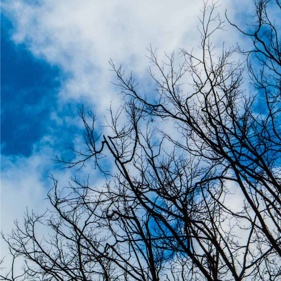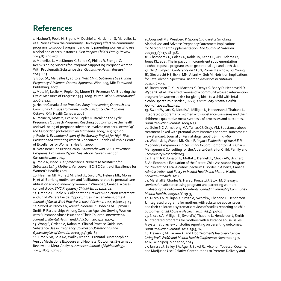### **References**

1. Nathoo T, Poole N, Bryans M, Dechief L, Hardeman S, Marcellus L, et al. Voices from the community: Developing effective community programs to support pregnant and early parenting women who use alcohol and other substances. *First Peoples Child & Family Review*. 2013;8(1):94-107.

2. Marcellus L, MacKinnon K, Benoit C, Philips R, Stengel C. Reenvisioning Success for Programs Supporting Pregnant Women With Problematic Substance Use. *Qualitative Health Research*. 2014:1-13.

3. Boyd SC, Marcellus L, editors. *With Child: Substance Use During Pregnancy: A Woman-Centred Approach*. Winnipeg, MB: Fernwood Publishing; 2007.

4. Motz M, Leslie M, Pepler DJ, Moore TE, Freeman PA. Breaking the Cycle: Measures of Progress 1995-2005. *Journal of FAS International*. 2006;4:e22.

5. Health Canada. *Best Practices-Early Intervention, Outreach and Community Linkages for Women with Substance Use Problems*. Ottawa, ON: Health Canada; 2006.

6. Racine N, Motz M, Leslie M, Pepler D. Breaking the Cycle Pregnancy Outreach Program: Reaching out to improve the health and well-being of pregnant substance involved mothers. *Journal of the Association for Research on Mothering*. 2009;11(1):279-90.

7. Poole N. *Evaluation Report of the Sheway Project for High-Risk, Pregnant and Parenting Women*. Vancouver: British Columbia Centre of Excellence for Women's Health; 2000.

8. Nota Bene Consulting Group. *Sakastachewan FASD Prevention Programs: Evaluation Report*. Saskatoon: Government of Saskatchewan; 2014.

9. Poole N, Isaac B. *Apprehensions: Barriers to Treatment for Substance Using Mothers*. Vancouver, BC: BC Centre of Excellence for Women's Health; 2001.

10. Heaman MI, Moffatt M, Elliott L, Sword W, Helewa ME, Morris H, et al. Barriers, motivators and facilitators related to prenatal care utilization among inner-city women in Winnipeg, Canada: a casecontrol study. *BMC Pregnancy Childbirth*. 2014;14:227.

11. Drabble L, Poole N. Collaboration Between Addiction Treatment and Child Welfare Fields: Opportunities in a Canadian Context. *Journal of Social Work Practice in the Addictions*. 2011;11(2):124-49. 12. Sword W, Niccols A, Yousefi-Nooraie R, Dobbins M, Lipman E,

Smith P. Partnerships Among Canadian Agencies Serving Women with Substance Abuse Issues and Their Children. *International* 

*Journal of Mental Health and Addiction*. 2013;11:344-57. 13. Wong S, Ordean A, Kahan M. Clinical Practice Guidelines: Substance Use in Pregnancy. *Journal of Obstetricians and* 

*Gynecologists of Canada.* 2011;33(4):367-84.

14. Brogly SB, Saia KA, Walley AY et al. Prenatal Buprenorphine Versus Methadone Exposure and Neonatal Outcomes: Systematic Review and Meta-Analysis. *American Journal of Epidemiology*. 2014;180(7):673-86.

15.Cogswell ME, Weisberg P, Spong C. Cigarette Smoking, Alcohol Use and Adverse Pregnancy Outcomes: Implications for Micronutrient Supplementation. *The Journal of Nutrition*. 2003;133(5):1722S-31S.

16. Chambers CD, Coles CD, Kable JA, Keen CL, Uriu-Adams JY, Jones KL, et al. The impact of micronutrient supplementation in alcohol-exposed pregnancies on gestational age and birth size. *17. Third European Conference on FASD*; Rome, Italy 2014. 17. Young JK, Giesbrecht HE, Eskin MN, Aliani M, Suh M. Nutrition Implications for Fetal Alcohol Spectrum Disorder. *Advances in Nutrition*. 2014;5:675-92.

18. Rasmussen C, Kully-Martens K, Denys K, Badry D, Henneveld D, Wyper K, et al. The effectiveness of a community-based intervention program for women at-risk for giving birth to a child with fetal alcohol spectrum disorder (FASD). *Community Mental Health Journal*. 2012;48:12–21.

19. Sword W, Jack S, Niccols A, Milligan K, Henderson J, Thabane L. Integrated programs for women with substance use issues and their children: a qualitative meta-synthesis of processes and outcomes. *Harm Reduction Journal*. 2009;6:32

20. Goler NC, Armstrong MA, Taillac CJ, Osejo VM. Substance abuse treatment linked with prenatal visits improves perinatal outcomes: a new standard. Journal of Perinatalogy. 2008;28(9):597-603. 21. Wodinski L, Wanke MI, Khan F. *Impact Evaluation of the H.E.R. Pregnancy Program – Final Summary Report*. Edmonton, AB: Charis Management Consulting for the Alberta Centre for Child, Family and Community Research2013.

22. Thanh NX, Jonsson E, Moffat J, Dennett L, Chuck AW, Birchard S. An Economic Evaluation of the Parent-Child Assistance Program for Preventing Fetal Alcohol Spectrum Disorder in Alberta, Canada. *Administration and Policy in Mental Health and Mental Health Services Research*. 2014.

23. Marshall S, Charles G, Hare J, Ponzetti J, Stokl M. Sheway's services for substance using pregnant and parenting women: Evaluating the outcomes for infants. *Canadian Journal of Community Mental Health*. 2005;24(1):19-33.

24. Niccols A, Milligan K, Smith A, Sword W, Thabane L, Henderson J. Integrated programs for mothers with substance abuse issues and their children: a systematic review of studies reporting on child outcomes. *Child Abuse & Neglect*. 2012;36(4):308-22.

25. Niccols A, Milligan K, Sword W, Thabane L, Henderson J, Smith A. Integrated programs for mothers with substance abuse issues: A systematic review of studies reporting on parenting outcomes. *Harm Reduction Journal*. 2012;19(9):14.

26. Dewan P, McFarlane A. 2nd Floor Women's Recovery Centre. *Living Well: FASD and Mental Health Conference*; November 5-7, 2014; Winnipeg, Manitoba; 2014.

27. Janisse JJ, Bailey BA, Ager J, Sokol RJ. Alcohol, Tobacco, Cocaine, and Marijuana Use: Relative Contributions to Preterm Delivery and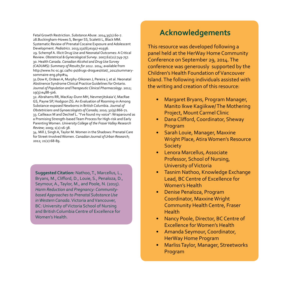28.Buckingham-Howes S, Berger SS, Scaletti L, Black MM. Systematic Review of Prenatal Cocaine Exposure and Adolescent Development. *Pediatrics*. 2013;131(6);e1917-e1936.

29. Schempf A. Illicit Drug Use and Neonatal Outcomes: A Critical Review. *Obstetrical & Gynecological Survey*. 2007;62(11):749-757. 30. Health Canada. *Canadian Alcohol and Drug Use Survey (CADUMS): Summary of Results for 2012*. 2014; available from http://www.hc-sc.gc.ca/hc-ps/drugs-drogues/stat/\_2012/summarysommaire-eng.php#s4

31.Dow K, Ordean A, Murphy-Oikonen J, Pereira J, et al. Neonatal Abstinence Syndrome Clinical Practice Guidelines for Ontario. *Journal of Population and Therapeutic Clinical Pharmacology*. 2012; 19(3):e488-506.

32. Abrahams RR, MacKay-Dunn MH, Nevmerjitskaia V, MacRae GS, Payne SP, Hodgson ZG. An Evaluation of Rooming-in Among Substance-exposed Newborns in British Columbia. *Journal of Obstetricians and Gynaecologists of Canada*; 2010; 32(9):866-71. 33. Cailleaux M and Dechief L. "I've found my voice": Wraparound as a Promising Strength-based Team Process for High-risk and Early Parenting Women. *University College of the Fraser Valley Research Review*; 2009; 1(2):16-38.

34. Mill J, Singh A, Taylor M. Women in the Shadows: Prenatal Care for Street-Involved Women. *Canadian Journal of Urban Research*; 2012; 21(2):68-89.

**Suggested Citation:** Nathoo, T., Marcellus, L., Bryans, M., Clifford, D., Louie, S., Penaloza, D., Seymour, A., Taylor, M., and Poole, N. (2015). *Harm Reduction and Pregnancy: Communitybased Approaches to Prenatal Substance Use in Western Canada*. Victoria and Vancouver, BC: University of Victoria School of Nursing and British Columbia Centre of Excellence for Women's Health.

### Fetal Growth Restriction. *Substance Abuse*. 2014;35(1):60-7. **Acknowledgements**

This resource was developed following a panel held at the HerWay Home Community Conference on September 29, 2014. The conference was generously supported by the Children's Health Foundation of Vancouver Island. The following individuals assisted with the writing and creation of this resource:

- Margaret Bryans, Program Manager, Manito Ikwe Kagiikwe/ The Mothering Project, Mount Carmel Clinic
- Dana Clifford, Coordinator, Sheway Program
- Sarah Louie, Manager, Maxxine Wright Place, Atira Women's Resource **Society**
- Lenora Marcellus, Associate Professor, School of Nursing, University of Victoria
- Tasnim Nathoo, Knowledge Exchange Lead, BC Centre of Excellence for Women's Health
- Denise Penaloza, Program Coordinator, Maxxine Wright Community Health Centre, Fraser **Health**
- Nancy Poole, Director, BC Centre of Excellence for Women's Health
- Amanda Seymour, Coordinator, HerWay Home Program
- Marliss Taylor, Manager, Streetworks Program